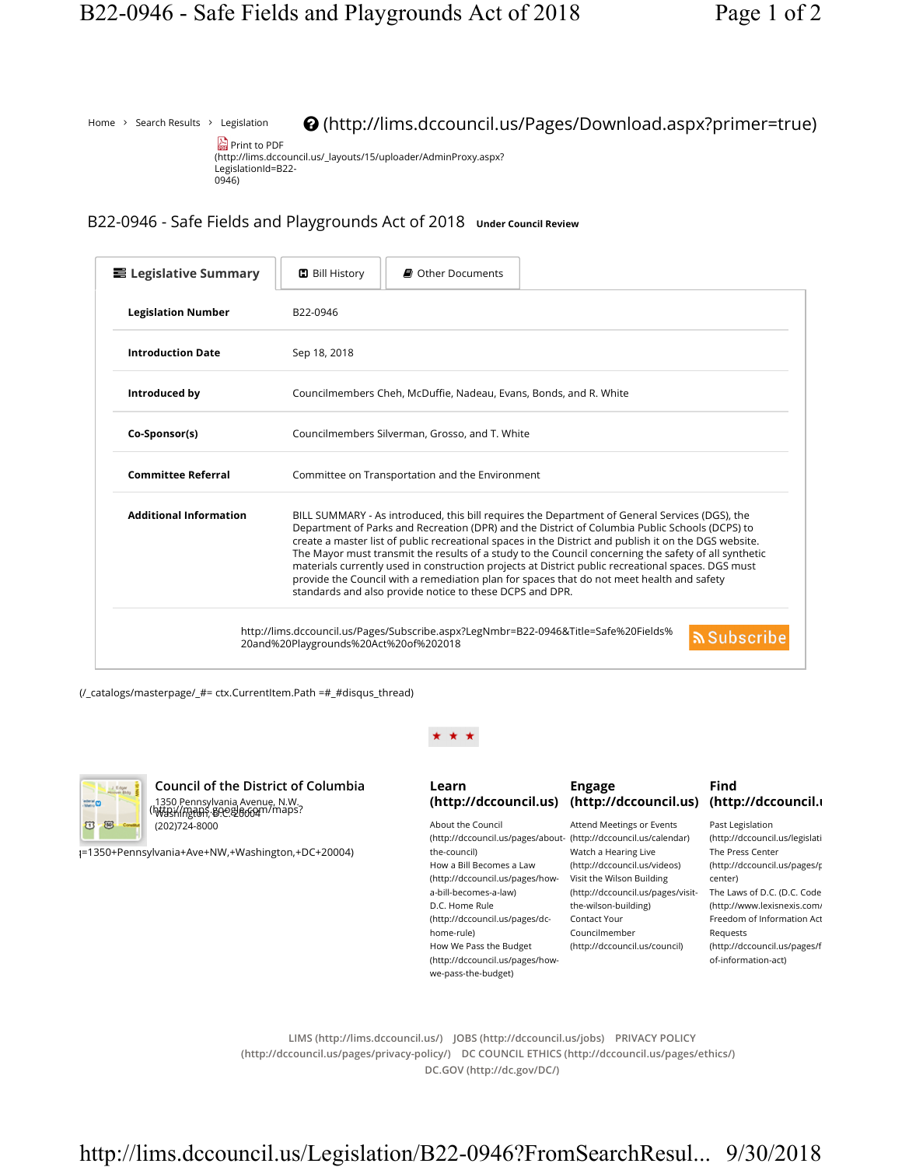Home  $\rightarrow$  Search Results  $\rightarrow$  Legislation

(http://lims.dccouncil.us/Pages/Download.aspx?primer=true)



B22-0946 - Safe Fields and Playgrounds Act of 2018 Under Council Review

| ■ Legislative Summary         | <b>D</b> Bill History<br>■ Other Documents                                                                                                                                                                                                                                                                                                                                                                                                                                                                                                                                                                                                                                       |                  |
|-------------------------------|----------------------------------------------------------------------------------------------------------------------------------------------------------------------------------------------------------------------------------------------------------------------------------------------------------------------------------------------------------------------------------------------------------------------------------------------------------------------------------------------------------------------------------------------------------------------------------------------------------------------------------------------------------------------------------|------------------|
| <b>Legislation Number</b>     | B22-0946                                                                                                                                                                                                                                                                                                                                                                                                                                                                                                                                                                                                                                                                         |                  |
| <b>Introduction Date</b>      | Sep 18, 2018                                                                                                                                                                                                                                                                                                                                                                                                                                                                                                                                                                                                                                                                     |                  |
| Introduced by                 | Councilmembers Cheh, McDuffie, Nadeau, Evans, Bonds, and R. White                                                                                                                                                                                                                                                                                                                                                                                                                                                                                                                                                                                                                |                  |
| Co-Sponsor(s)                 | Councilmembers Silverman, Grosso, and T. White                                                                                                                                                                                                                                                                                                                                                                                                                                                                                                                                                                                                                                   |                  |
| <b>Committee Referral</b>     | Committee on Transportation and the Environment                                                                                                                                                                                                                                                                                                                                                                                                                                                                                                                                                                                                                                  |                  |
| <b>Additional Information</b> | BILL SUMMARY - As introduced, this bill requires the Department of General Services (DGS), the<br>Department of Parks and Recreation (DPR) and the District of Columbia Public Schools (DCPS) to<br>create a master list of public recreational spaces in the District and publish it on the DGS website.<br>The Mayor must transmit the results of a study to the Council concerning the safety of all synthetic<br>materials currently used in construction projects at District public recreational spaces. DGS must<br>provide the Council with a remediation plan for spaces that do not meet health and safety<br>standards and also provide notice to these DCPS and DPR. |                  |
|                               | http://lims.dccouncil.us/Pages/Subscribe.aspx?LegNmbr=B22-0946&Title=Safe%20Fields%<br>20and%20Playgrounds%20Act%20of%202018                                                                                                                                                                                                                                                                                                                                                                                                                                                                                                                                                     | <u>৯</u> Subscri |

(/\_catalogs/masterpage/\_#= ctx.CurrentItem.Path =#\_#disqus\_thread)



Council of the District of Columbia 1350 Pennsylvania Avenue, N.W. Washington, D.C. 20004 (http://maps.google.com/maps? (202)724-8000

q=1350+Pennsylvania+Ave+NW,+Washington,+DC+20004)

## Learn

## About the Council (http://dccouncil.us/pages/about-(http://dccouncil.us/calendar) the-council) How a Bill Becomes a Law (http://dccouncil.us/pages/how-Visit the Wilson Building a-bill-becomes-a-law) D.C. Home Rule (http://dccouncil.us/pages/dchome-rule) How We Pass the Budget (http://dccouncil.us/pages/howwe-pass-the-budget)

## Engage

Attend Meetings or Events Watch a Hearing Live (http://dccouncil.us/videos) (http://dccouncil.us/pages/visit-The Laws of D.C. (D.C. Code) the-wilson-building) Contact Your Councilmember (http://dccouncil.us/council)

## (http://dccouncil.us) (http://dccouncil.us) (http://dccouncil.us) Find

Past Legislation (http://dccouncil.us/legislati The Press Center (http://dccouncil.us/pages/p center) (http://www.lexisnexis.com/ Freedom of Information Act Requests (http://dccouncil.us/pages/f of-information-act)

LIMS (http://lims.dccouncil.us/) JOBS (http://dccouncil.us/jobs) PRIVACY POLICY (http://dccouncil.us/pages/privacy-policy/) DC COUNCIL ETHICS (http://dccouncil.us/pages/ethics/) DC.GOV (http://dc.gov/DC/)